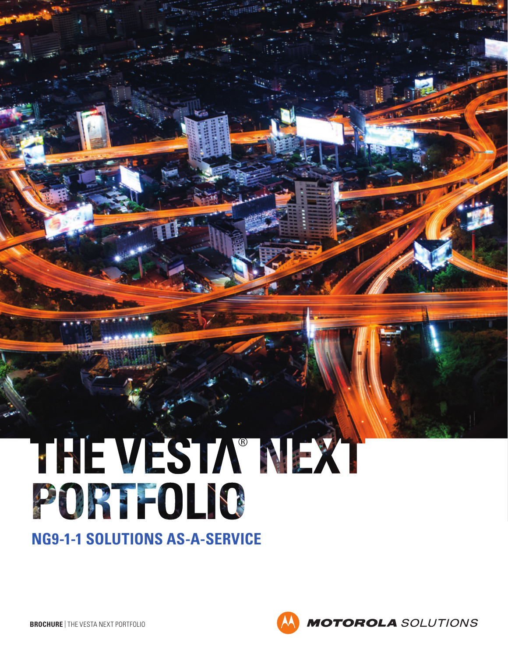# THE VESTA MEXI PORTOLIS

**NG9-1-1 SOLUTIONS AS-A-SERVICE**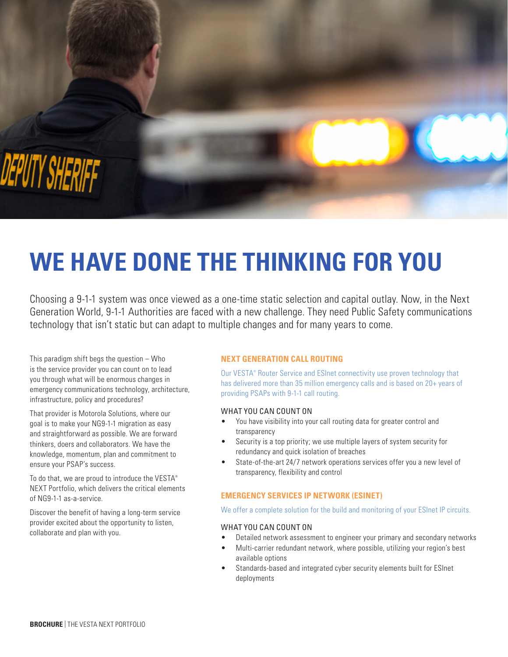

## **WE HAVE DONE THE THINKING FOR YOU**

Choosing a 9-1-1 system was once viewed as a one-time static selection and capital outlay. Now, in the Next Generation World, 9-1-1 Authorities are faced with a new challenge. They need Public Safety communications technology that isn't static but can adapt to multiple changes and for many years to come.

This paradigm shift begs the question – Who is the service provider you can count on to lead you through what will be enormous changes in emergency communications technology, architecture, infrastructure, policy and procedures?

That provider is Motorola Solutions, where our goal is to make your NG9-1-1 migration as easy and straightforward as possible. We are forward thinkers, doers and collaborators. We have the knowledge, momentum, plan and commitment to ensure your PSAP's success.

To do that, we are proud to introduce the VESTA® NEXT Portfolio, which delivers the critical elements of NG9-1-1 as-a-service.

Discover the benefit of having a long-term service provider excited about the opportunity to listen, collaborate and plan with you.

#### **NEXT GENERATION CALL ROUTING**

Our VESTA® Router Service and ESInet connectivity use proven technology that has delivered more than 35 million emergency calls and is based on 20+ years of providing PSAPs with 9-1-1 call routing.

#### WHAT YOU CAN COUNT ON

- You have visibility into your call routing data for greater control and transparency
- Security is a top priority; we use multiple layers of system security for redundancy and quick isolation of breaches
- State-of-the-art 24/7 network operations services offer you a new level of transparency, flexibility and control

#### **EMERGENCY SERVICES IP NETWORK (ESINET)**

#### We offer a complete solution for the build and monitoring of your ESInet IP circuits.

#### WHAT YOU CAN COUNT ON

- Detailed network assessment to engineer your primary and secondary networks
- Multi-carrier redundant network, where possible, utilizing your region's best available options
- Standards-based and integrated cyber security elements built for ESInet deployments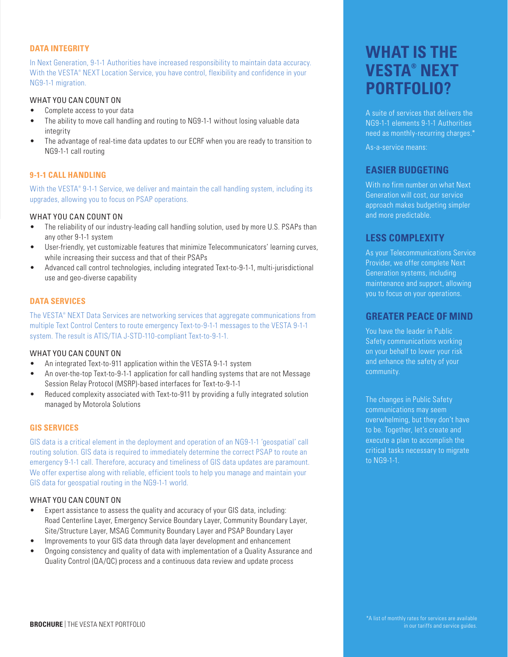#### **DATA INTEGRITY**

In Next Generation, 9-1-1 Authorities have increased responsibility to maintain data accuracy. With the VESTA® NEXT Location Service, you have control, flexibility and confidence in your NG9-1-1 migration.

#### WHAT YOU CAN COUNT ON

- Complete access to your data
- The ability to move call handling and routing to NG9-1-1 without losing valuable data integrity
- The advantage of real-time data updates to our ECRF when you are ready to transition to NG9-1-1 call routing

#### **9-1-1 CALL HANDLING**

With the VESTA® 9-1-1 Service, we deliver and maintain the call handling system, including its upgrades, allowing you to focus on PSAP operations.

#### WHAT YOU CAN COUNT ON

- The reliability of our industry-leading call handling solution, used by more U.S. PSAPs than any other 9-1-1 system
- User-friendly, yet customizable features that minimize Telecommunicators' learning curves, while increasing their success and that of their PSAPs
- Advanced call control technologies, including integrated Text-to-9-1-1, multi-jurisdictional use and geo-diverse capability

#### **DATA SERVICES**

The VESTA® NEXT Data Services are networking services that aggregate communications from multiple Text Control Centers to route emergency Text-to-9-1-1 messages to the VESTA 9-1-1 system. The result is ATIS/TIA J-STD-110-compliant Text-to-9-1-1.

#### WHAT YOU CAN COUNT ON

- An integrated Text-to-911 application within the VESTA 9-1-1 system
- An over-the-top Text-to-9-1-1 application for call handling systems that are not Message Session Relay Protocol (MSRP)-based interfaces for Text-to-9-1-1
- Reduced complexity associated with Text-to-911 by providing a fully integrated solution managed by Motorola Solutions

#### **GIS SERVICES**

GIS data is a critical element in the deployment and operation of an NG9-1-1 'geospatial' call routing solution. GIS data is required to immediately determine the correct PSAP to route an emergency 9-1-1 call. Therefore, accuracy and timeliness of GIS data updates are paramount. We offer expertise along with reliable, efficient tools to help you manage and maintain your GIS data for geospatial routing in the NG9-1-1 world.

#### WHAT YOU CAN COUNT ON

- Expert assistance to assess the quality and accuracy of your GIS data, including: Road Centerline Layer, Emergency Service Boundary Layer, Community Boundary Layer, Site/Structure Layer, MSAG Community Boundary Layer and PSAP Boundary Layer
- Improvements to your GIS data through data layer development and enhancement
- Ongoing consistency and quality of data with implementation of a Quality Assurance and Quality Control (QA/QC) process and a continuous data review and update process

### **WHAT IS THE VESTA® NEXT PORTFOLIO?**

A suite of services that delivers the NG9-1-1 elements 9-1-1 Authorities need as monthly-recurring charges.\*

As-a-service means:

#### **EASIER BUDGETING**

With no firm number on what Next Generation will cost, our service approach makes budgeting simpler and more predictable.

#### **LESS COMPLEXITY**

As your Telecommunications Service Provider, we offer complete Next Generation systems, including maintenance and support, allowing you to focus on your operations.

#### **GREATER PEACE OF MIND**

You have the leader in Public Safety communications working on your behalf to lower your risk and enhance the safety of your community.

The changes in Public Safety communications may seem overwhelming, but they don't have to be. Together, let's create and execute a plan to accomplish the critical tasks necessary to migrate to NG9-1-1.